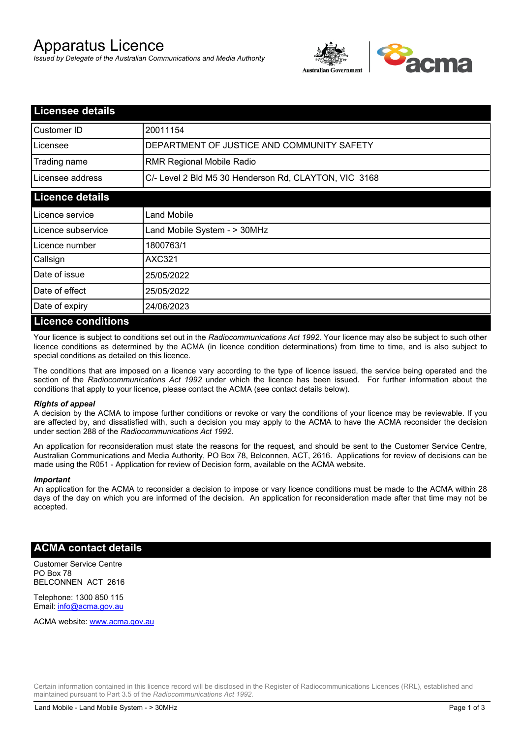# Apparatus Licence

*Issued by Delegate of the Australian Communications and Media Authority*



| <b>Licensee details</b> |                                                       |  |
|-------------------------|-------------------------------------------------------|--|
| Customer ID             | 20011154                                              |  |
| Licensee                | DEPARTMENT OF JUSTICE AND COMMUNITY SAFETY            |  |
| Trading name            | <b>RMR Regional Mobile Radio</b>                      |  |
| Licensee address        | C/- Level 2 Bld M5 30 Henderson Rd, CLAYTON, VIC 3168 |  |
| <b>Licence details</b>  |                                                       |  |
| l Licence service       | Land Mobile                                           |  |
| Licence subservice      | Land Mobile System - > 30MHz                          |  |
| Licence number          | 1800763/1                                             |  |
| Callsign                | <b>AXC321</b>                                         |  |
| Date of issue           | 25/05/2022                                            |  |
| Date of effect          | 25/05/2022                                            |  |
| Date of expiry          | 24/06/2023                                            |  |
| Licance conditions      |                                                       |  |

### **Licence conditions**

Your licence is subject to conditions set out in the *Radiocommunications Act 1992*. Your licence may also be subject to such other licence conditions as determined by the ACMA (in licence condition determinations) from time to time, and is also subject to special conditions as detailed on this licence.

The conditions that are imposed on a licence vary according to the type of licence issued, the service being operated and the section of the *Radiocommunications Act 1992* under which the licence has been issued. For further information about the conditions that apply to your licence, please contact the ACMA (see contact details below).

### *Rights of appeal*

A decision by the ACMA to impose further conditions or revoke or vary the conditions of your licence may be reviewable. If you are affected by, and dissatisfied with, such a decision you may apply to the ACMA to have the ACMA reconsider the decision under section 288 of the *Radiocommunications Act 1992*.

An application for reconsideration must state the reasons for the request, and should be sent to the Customer Service Centre, Australian Communications and Media Authority, PO Box 78, Belconnen, ACT, 2616. Applications for review of decisions can be made using the R051 - Application for review of Decision form, available on the ACMA website.

#### *Important*

An application for the ACMA to reconsider a decision to impose or vary licence conditions must be made to the ACMA within 28 days of the day on which you are informed of the decision. An application for reconsideration made after that time may not be accepted.

### **ACMA contact details**

Customer Service Centre PO Box 78 BELCONNEN ACT 2616

Telephone: 1300 850 115 Email: info@acma.gov.au

ACMA website: www.acma.gov.au

Certain information contained in this licence record will be disclosed in the Register of Radiocommunications Licences (RRL), established and maintained pursuant to Part 3.5 of the *Radiocommunications Act 1992.*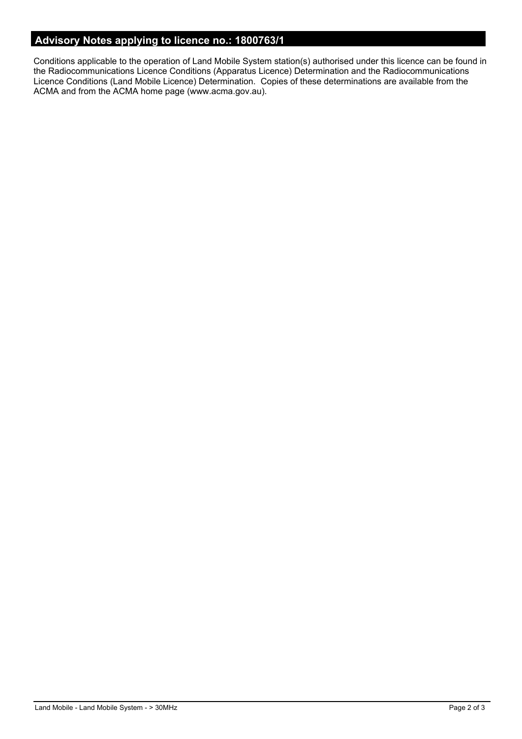## **Advisory Notes applying to licence no.: 1800763/1**

Conditions applicable to the operation of Land Mobile System station(s) authorised under this licence can be found in the Radiocommunications Licence Conditions (Apparatus Licence) Determination and the Radiocommunications Licence Conditions (Land Mobile Licence) Determination. Copies of these determinations are available from the ACMA and from the ACMA home page (www.acma.gov.au).